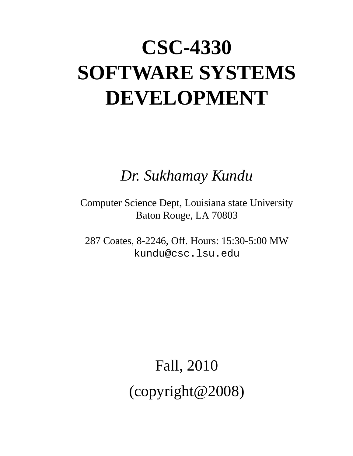# **CSC-4330 SOFTWARE SYSTEMS DEVELOPMENT**

*Dr. Sukhamay Kundu*

Computer Science Dept, Louisiana state University Baton Rouge, LA 70803

287 Coates, 8-2246, Off. Hours: 15:30-5:00 MW kundu@csc.lsu.edu

> Fall, 2010 (copyright@2008)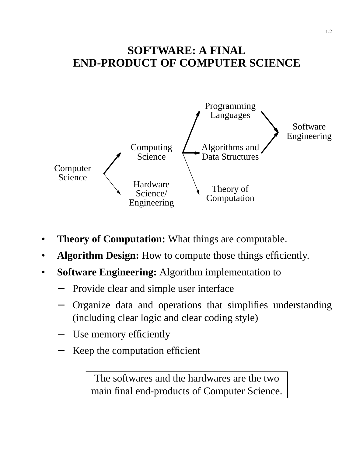### **SOFTWARE: A FINAL END-PRODUCT OF COMPUTER SCIENCE**



- **Theory of Computation:** What things are computable.
- **Algorithm Design:** How to compute those things efficiently.
- **Software Engineering:** Algorithm implementation to
	- Provide clear and simple user interface
	- Organize data and operations that simplifies understanding (including clear logic and clear coding style)
	- − Use memory efficiently
	- Keep the computation efficient

The softwares and the hardwares are the two main final end-products of Computer Science.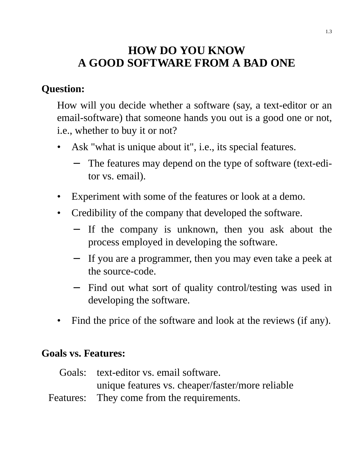### **HOW DO YOU KNOW A GOOD SOFTWARE FROM A BAD ONE**

### **Question:**

How will you decide whether a software (say, a text-editor or an email-software) that someone hands you out is a good one or not, i.e., whether to buy it or not?

- Ask "what is unique about it", i.e., its special features.
	- The features may depend on the type of software (text-editor vs. email).
- Experiment with some of the features or look at a demo.
- Credibility of the company that developed the software.
	- − If the company is unknown, then you ask about the process employed in developing the software.
	- − If you are a programmer, then you may even take a peek at the source-code.
	- − Find out what sort of quality control/testing was used in developing the software.
- Find the price of the software and look at the reviews (if any).

#### **Goals vs. Features:**

| Goals: text-editor vs. email software.           |
|--------------------------------------------------|
| unique features vs. cheaper/faster/more reliable |
| Features: They come from the requirements.       |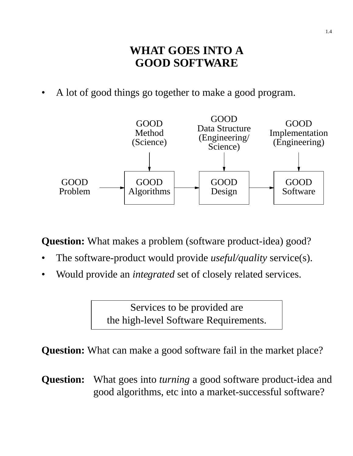### **WHAT GOES INTO A GOOD SOFTWARE**

A lot of good things go together to make a good program.



**Question:** What makes a problem (software product-idea) good?

- The software-product would provide *useful/quality* service(s).
- Would provide an *integrated* set of closely related services.

Services to be provided are the high-level Software Requirements.

**Question:** What can make a good software fail in the market place?

**Question:** What goes into *turning* a good software product-idea and good algorithms, etc into a market-successful software?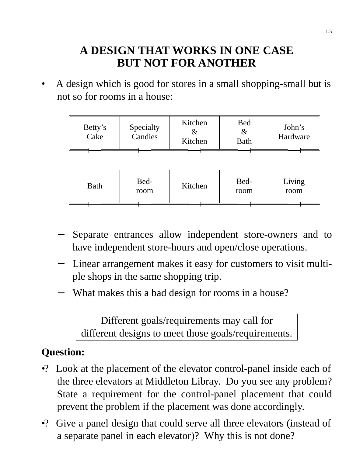### **A DESIGN THAT WORKS IN ONE CASE BUT NOT FOR ANOTHER**

• A design which is good for stores in a small shopping-small but is not so for rooms in a house:

| Kitchen<br>Bed<br>Specialty<br>Betty's<br>&<br>Candies<br>Cake<br>Kitchen<br>Bath | John's<br>Hardware |
|-----------------------------------------------------------------------------------|--------------------|
|-----------------------------------------------------------------------------------|--------------------|

|  | <b>Bath</b> | Bed-<br>room | Kitchen | Bed-<br>room | Living<br>room |
|--|-------------|--------------|---------|--------------|----------------|
|--|-------------|--------------|---------|--------------|----------------|

- − Separate entrances allow independent store-owners and to have independent store-hours and open/close operations.
- − Linear arrangement makes it easy for customers to visit multiple shops in the same shopping trip.
- What makes this a bad design for rooms in a house?

Different goals/requirements may call for different designs to meet those goals/requirements.

### **Question:**

- •? Look at the placement of the elevator control-panel inside each of the three elevators at Middleton Libray. Do you see any problem? State a requirement for the control-panel placement that could prevent the problem if the placement was done accordingly.
- •? Give a panel design that could serve all three elevators (instead of a separate panel in each elevator)? Why this is not done?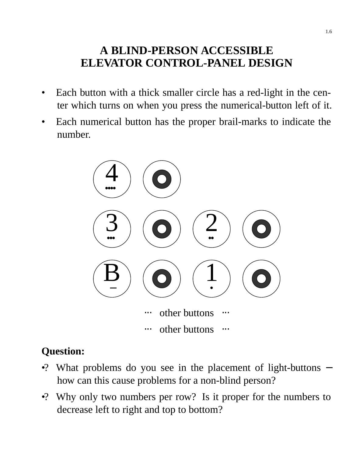### **A BLIND-PERSON ACCESSIBLE ELEVATOR CONTROL-PANEL DESIGN**

- Each button with a thick smaller circle has a red-light in the center which turns on when you press the numerical-button left of it.
- Each numerical button has the proper brail-marks to indicate the number.



### **Question:**

- •? What problems do you see in the placement of light-buttons how can this cause problems for a non-blind person?
- •? Why only two numbers per row? Is it proper for the numbers to decrease left to right and top to bottom?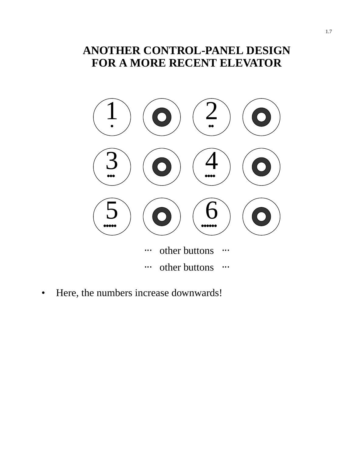### **ANOTHER CONTROL-PANEL DESIGN FOR A MORE RECENT ELEVATOR**



• Here, the numbers increase downwards!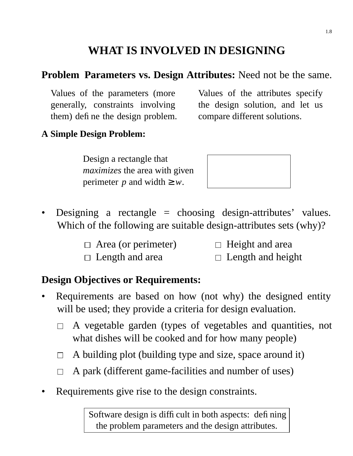### **WHAT IS INVOLVED IN DESIGNING**

#### **Problem Parameters vs. Design Attributes:** Need not be the same.

Values of the parameters (more generally, constraints involving them) define the design problem.

Values of the attributes specify the design solution, and let us compare different solutions.

#### **A Simple Design Problem:**

Design a rectangle that *maximizes* the area with given perimeter *p* and width  $\geq w$ .



- Designing a rectangle  $=$  choosing design-attributes' values. Which of the following are suitable design-attributes sets (why)?
	- $\Box$  Area (or perimeter)  $\Box$  Height and area
	-
- 
- $\Box$  Length and area  $\Box$  Length and height

#### **Design Objectives or Requirements:**

- Requirements are based on how (not why) the designed entity will be used; they provide a criteria for design evaluation.
	- A vegetable garden (types of vegetables and quantities, not  $\Box$ what dishes will be cooked and for how many people)
	- $\Box$  A building plot (building type and size, space around it)
	- A park (different game-facilities and number of uses)  $\Box$
- Requirements give rise to the design constraints.

Software design is difficult in both aspects: defining the problem parameters and the design attributes.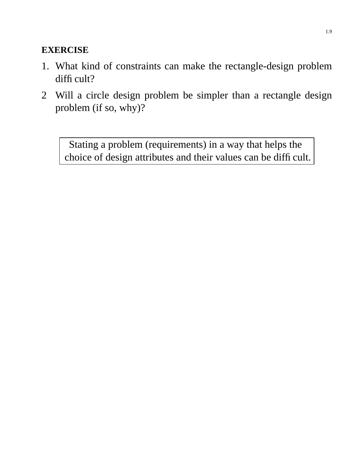#### **EXERCISE**

- 1. What kind of constraints can make the rectangle-design problem difficult?
- 2 Will a circle design problem be simpler than a rectangle design problem (if so, why)?

Stating a problem (requirements) in a way that helps the choice of design attributes and their values can be difficult.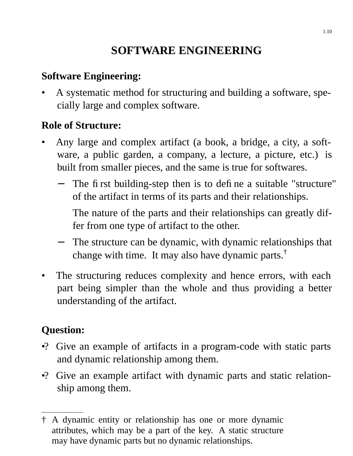### **SOFTWARE ENGINEERING**

#### **Software Engineering:**

• A systematic method for structuring and building a software, specially large and complex software.

#### **Role of Structure:**

- Any large and complex artifact (a book, a bridge, a city, a software, a public garden, a company, a lecture, a picture, etc.) is built from smaller pieces, and the same is true for softwares.
	- − The first building-step then is to define a suitable "structure" of the artifact in terms of its parts and their relationships.

The nature of the parts and their relationships can greatly differ from one type of artifact to the other.

- − The structure can be dynamic, with dynamic relationships that change with time. It may also have dynamic parts.<sup>†</sup>
- The structuring reduces complexity and hence errors, with each part being simpler than the whole and thus providing a better understanding of the artifact.

### **Question:**

- •? Give an example of artifacts in a program-code with static parts and dynamic relationship among them.
- •? Give an example artifact with dynamic parts and static relationship among them.

<sup>†</sup> A dynamic entity or relationship has one or more dynamic attributes, which may be a part of the key. A static structure may have dynamic parts but no dynamic relationships.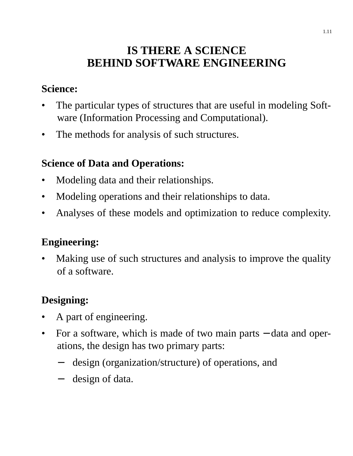### **IS THERE A SCIENCE BEHIND SOFTWARE ENGINEERING**

#### **Science:**

- The particular types of structures that are useful in modeling Software (Information Processing and Computational).
- The methods for analysis of such structures.

### **Science of Data and Operations:**

- Modeling data and their relationships.
- Modeling operations and their relationships to data.
- Analyses of these models and optimization to reduce complexity.

### **Engineering:**

Making use of such structures and analysis to improve the quality of a software.

### **Designing:**

- A part of engineering.
- For a software, which is made of two main parts data and operations, the design has two primary parts:
	- − design (organization/structure) of operations, and
	- − design of data.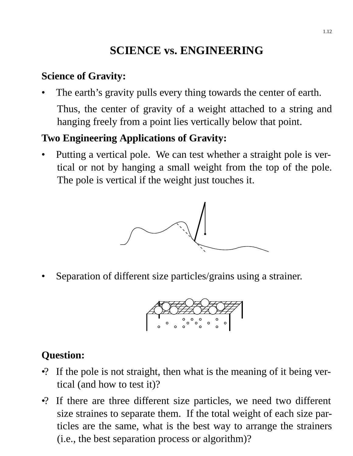### **SCIENCE vs. ENGINEERING**

#### **Science of Gravity:**

The earth's gravity pulls every thing towards the center of earth. Thus, the center of gravity of a weight attached to a string and hanging freely from a point lies vertically below that point.

#### **Two Engineering Applications of Gravity:**

• Putting a vertical pole. We can test whether a straight pole is vertical or not by hanging a small weight from the top of the pole. The pole is vertical if the weight just touches it.



Separation of different size particles/grains using a strainer.



#### **Question:**

- •? If the pole is not straight, then what is the meaning of it being vertical (and how to test it)?
- •? If there are three different size particles, we need two different size straines to separate them. If the total weight of each size particles are the same, what is the best way to arrange the strainers (i.e., the best separation process or algorithm)?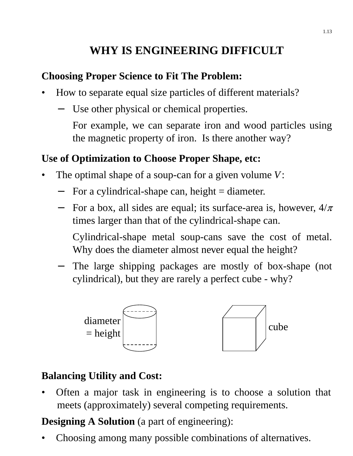### **WHY IS ENGINEERING DIFFICULT**

#### **Choosing Proper Science to Fit The Problem:**

- How to separate equal size particles of different materials?
	- − Use other physical or chemical properties.
		- For example, we can separate iron and wood particles using the magnetic property of iron. Is there another way?

#### **Use of Optimization to Choose Proper Shape, etc:**

- The optimal shape of a soup-can for a given volume *V*:
	- For a cylindrical-shape can, height  $=$  diameter.
	- $-$  For a box, all sides are equal; its surface-area is, however,  $4/\pi$ times larger than that of the cylindrical-shape can.
		- Cylindrical-shape metal soup-cans save the cost of metal. Why does the diameter almost never equal the height?
	- − The large shipping packages are mostly of box-shape (not cylindrical), but they are rarely a perfect cube - why?



#### **Balancing Utility and Cost:**

• Often a major task in engineering is to choose a solution that meets (approximately) several competing requirements.

**Designing A Solution** (a part of engineering):

• Choosing among many possible combinations of alternatives.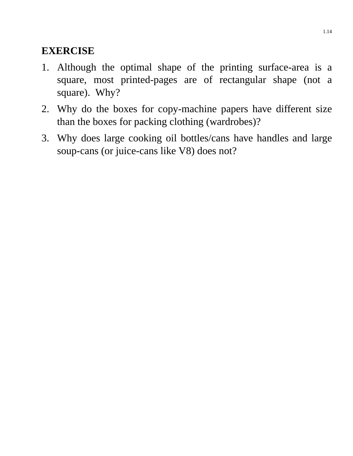#### **EXERCISE**

- 1. Although the optimal shape of the printing surface-area is a square, most printed-pages are of rectangular shape (not a square). Why?
- 2. Why do the boxes for copy-machine papers have different size than the boxes for packing clothing (wardrobes)?
- 3. Why does large cooking oil bottles/cans have handles and large soup-cans (or juice-cans like V8) does not?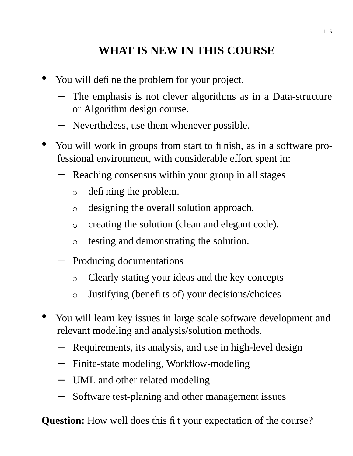### **WHAT IS NEW IN THIS COURSE**

- You will define the problem for your project.
	- The emphasis is not clever algorithms as in a Data-structure or Algorithm design course.
	- − Nevertheless, use them whenever possible.
- You will work in groups from start to finish, as in a software professional environment, with considerable effort spent in:
	- Reaching consensus within your group in all stages
		- defining the problem.  $\circ$
		- designing the overall solution approach.  $\circ$
		- creating the solution (clean and elegant code).  $\circ$
		- testing and demonstrating the solution.  $\bigcirc$
	- Producing documentations
		- Clearly stating your ideas and the key concepts  $\circ$
		- Justifying (benefits of) your decisions/choices  $\circ$
- You will learn key issues in large scale software development and relevant modeling and analysis/solution methods.
	- Requirements, its analysis, and use in high-level design
	- Finite-state modeling, Workflow-modeling
	- − UML and other related modeling
	- Software test-planing and other management issues

**Question:** How well does this fit your expectation of the course?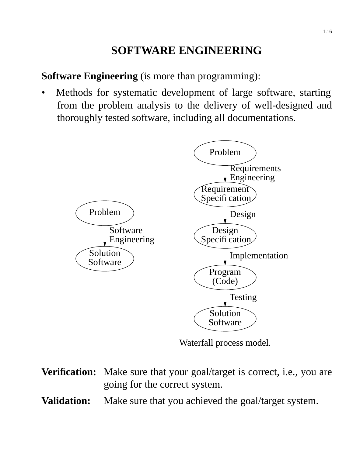### **SOFTWARE ENGINEERING**

**Software Engineering** (is more than programming):

Methods for systematic development of large software, starting from the problem analysis to the delivery of well-designed and thoroughly tested software, including all documentations.



Waterfall process model.

**Verification:** Make sure that your goal/target is correct, i.e., you are going for the correct system. **Validation:** Make sure that you achieved the goal/target system.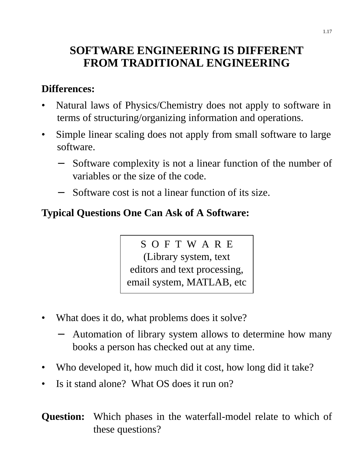### **SOFTWARE ENGINEERING IS DIFFERENT FROM TRADITIONAL ENGINEERING**

#### **Differences:**

- Natural laws of Physics/Chemistry does not apply to software in terms of structuring/organizing information and operations.
- Simple linear scaling does not apply from small software to large software.
	- Software complexity is not a linear function of the number of variables or the size of the code.
	- Software cost is not a linear function of its size.

### **Typical Questions One Can Ask of A Software:**

SOFTWARE (Library system, text editors and text processing, email system, MATLAB, etc

- What does it do, what problems does it solve?
	- Automation of library system allows to determine how many books a person has checked out at any time.
- Who developed it, how much did it cost, how long did it take?
- Is it stand alone? What OS does it run on?

**Question:** Which phases in the waterfall-model relate to which of these questions?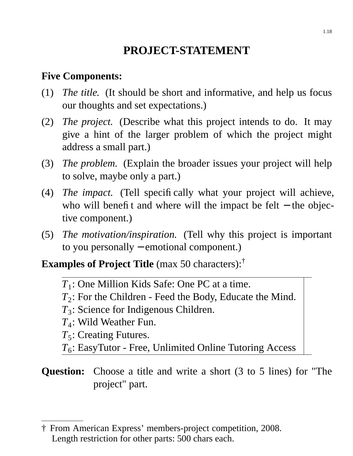### **PROJECT-STATEMENT**

#### **Five Components:**

- (1) *The title.* (It should be short and informative, and help us focus our thoughts and set expectations.)
- (2) *The project.* (Describe what this project intends to do. It may give a hint of the larger problem of which the project might address a small part.)
- (3) *The problem.* (Explain the broader issues your project will help to solve, maybe only a part.)
- (4) *The impact.* (Tell specifically what your project will achieve, who will benefit and where will the impact be felt – the objective component.)
- (5) *The motivation/inspiration.* (Tell why this project is important to you personally – emotional component.)

**Examples of Project Title** (max 50 characters):†

- *T*1 : One Million Kids Safe: One PC at a time.
- *T*2 : For the Children Feed the Body, Educate the Mind.
- *T*3 : Science for Indigenous Children.
- *T*4 : Wild Weather Fun.
- *T*<sub>5</sub>: Creating Futures.
- *T*6 : EasyTutor Free, Unlimited Online Tutoring Access

#### **Question:** Choose a title and write a short (3 to 5 lines) for "The project" part.

<sup>†</sup> From American Express' members-project competition, 2008. Length restriction for other parts: 500 chars each.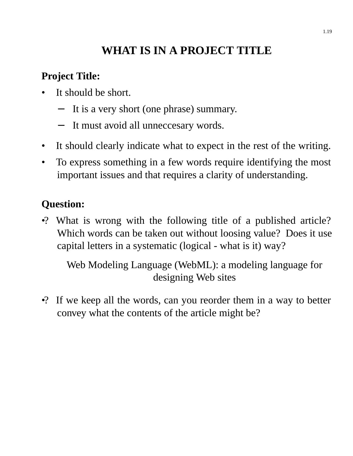### WHAT IS IN A PROJECT TITLE

### **Project Title:**

- It should be short.
	- It is a very short (one phrase) summary.
	- − It must avoid all unneccesary words.
- It should clearly indicate what to expect in the rest of the writing.
- To express something in a few words require identifying the most important issues and that requires a clarity of understanding.

#### **Question:**

•? What is wrong with the following title of a published article? Which words can be taken out without loosing value? Does it use capital letters in a systematic (logical - what is it) way?

Web Modeling Language (WebML): a modeling language for designing Web sites

•? If we keep all the words, can you reorder them in a way to better convey what the contents of the article might be?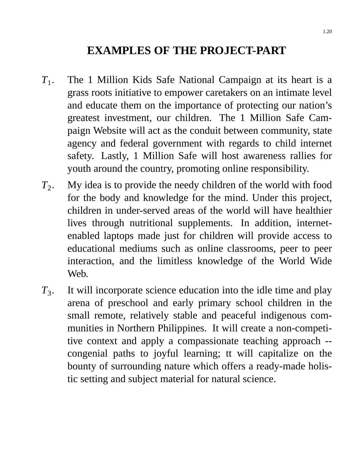### **EXAMPLES OF THE PROJECT-PART**

- $T_1$ . . The 1 Million Kids Safe National Campaign at its heart is a grass roots initiative to empower caretakers on an intimate level and educate them on the importance of protecting our nation's greatest investment, our children. The 1 Million Safe Campaign Website will act as the conduit between community, state agency and federal government with regards to child internet safety. Lastly, 1 Million Safe will host awareness rallies for youth around the country, promoting online responsibility.
- $T_2$ . . My idea is to provide the needy children of the world with food for the body and knowledge for the mind. Under this project, children in under-served areas of the world will have healthier lives through nutritional supplements. In addition, internetenabled laptops made just for children will provide access to educational mediums such as online classrooms, peer to peer interaction, and the limitless knowledge of the World Wide Web.
- $T_3$ . . It will incorporate science education into the idle time and play arena of preschool and early primary school children in the small remote, relatively stable and peaceful indigenous communities in Northern Philippines. It will create a non-competitive context and apply a compassionate teaching approach - congenial paths to joyful learning; tt will capitalize on the bounty of surrounding nature which offers a ready-made holistic setting and subject material for natural science.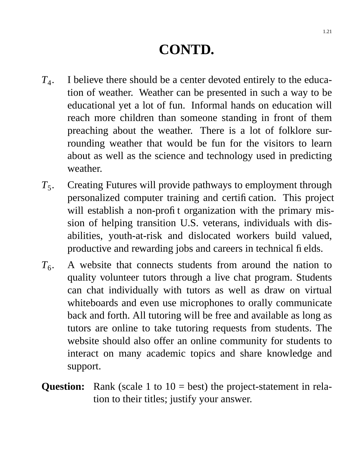## **CONTD.**

- $T_{4}.$ . I believe there should be a center devoted entirely to the education of weather. Weather can be presented in such a way to be educational yet a lot of fun. Informal hands on education will reach more children than someone standing in front of them preaching about the weather. There is a lot of folklore surrounding weather that would be fun for the visitors to learn about as well as the science and technology used in predicting weather.
- $T_5$ . . Creating Futures will provide pathways to employment through personalized computer training and certification. This project will establish a non-profit organization with the primary mission of helping transition U.S. veterans, individuals with disabilities, youth-at-risk and dislocated workers build valued, productive and rewarding jobs and careers in technical fields.
- $T_{6}$ . . A website that connects students from around the nation to quality volunteer tutors through a live chat program. Students can chat individually with tutors as well as draw on virtual whiteboards and even use microphones to orally communicate back and forth. All tutoring will be free and available as long as tutors are online to take tutoring requests from students. The website should also offer an online community for students to interact on many academic topics and share knowledge and support.
- **Question:** Rank (scale 1 to 10 = best) the project-statement in relation to their titles; justify your answer.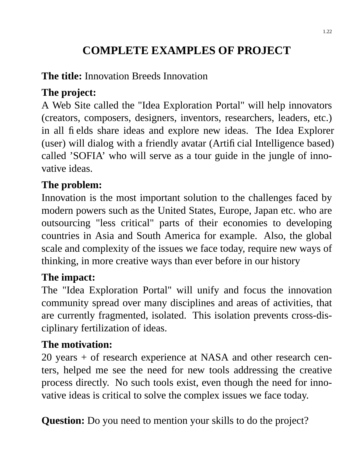### **COMPLETE EXAMPLES OF PROJECT**

### **The title:** Innovation Breeds Innovation

### **The project:**

A Web Site called the "Idea Exploration Portal" will help innovators (creators, composers, designers, inventors, researchers, leaders, etc.) in all fields share ideas and explore new ideas. The Idea Explorer (user) will dialog with a friendly avatar (Artificial Intelligence based) called 'SOFIA' who will serve as a tour guide in the jungle of innovative ideas.

### **The problem:**

Innovation is the most important solution to the challenges faced by modern powers such as the United States, Europe, Japan etc. who are outsourcing "less critical" parts of their economies to developing countries in Asia and South America for example. Also, the global scale and complexity of the issues we face today, require new ways of thinking, in more creative ways than ever before in our history

### **The impact:**

The "Idea Exploration Portal" will unify and focus the innovation community spread over many disciplines and areas of activities, that are currently fragmented, isolated. This isolation prevents cross-disciplinary fertilization of ideas.

### **The motivation:**

20 years + of research experience at NASA and other research centers, helped me see the need for new tools addressing the creative process directly. No such tools exist, even though the need for innovative ideas is critical to solve the complex issues we face today.

**Question:** Do you need to mention your skills to do the project?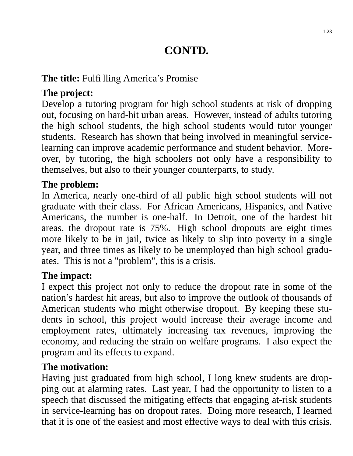### **CONTD.**

#### **The title:** Fulfilling America's Promise

### **The project:**

Develop a tutoring program for high school students at risk of dropping out, focusing on hard-hit urban areas. However, instead of adults tutoring the high school students, the high school students would tutor younger students. Research has shown that being involved in meaningful servicelearning can improve academic performance and student behavior. Moreover, by tutoring, the high schoolers not only have a responsibility to themselves, but also to their younger counterparts, to study.

#### **The problem:**

In America, nearly one-third of all public high school students will not graduate with their class. For African Americans, Hispanics, and Native Americans, the number is one-half. In Detroit, one of the hardest hit areas, the dropout rate is 75%. High school dropouts are eight times more likely to be in jail, twice as likely to slip into poverty in a single year, and three times as likely to be unemployed than high school graduates. This is not a "problem", this is a crisis.

#### **The impact:**

I expect this project not only to reduce the dropout rate in some of the nation's hardest hit areas, but also to improve the outlook of thousands of American students who might otherwise dropout. By keeping these students in school, this project would increase their average income and employment rates, ultimately increasing tax revenues, improving the economy, and reducing the strain on welfare programs. I also expect the program and its effects to expand.

#### **The motivation:**

Having just graduated from high school, I long knew students are dropping out at alarming rates. Last year, I had the opportunity to listen to a speech that discussed the mitigating effects that engaging at-risk students in service-learning has on dropout rates. Doing more research, I learned that it is one of the easiest and most effective ways to deal with this crisis.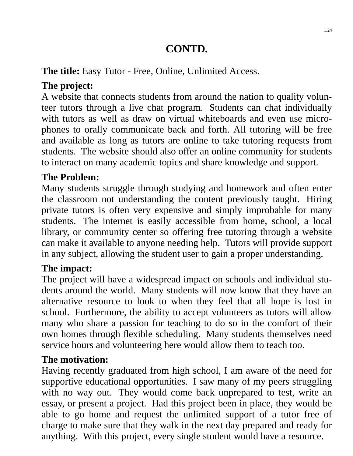### **CONTD.**

#### **The title:** Easy Tutor - Free, Online, Unlimited Access.

### **The project:**

A website that connects students from around the nation to quality volunteer tutors through a live chat program. Students can chat individually with tutors as well as draw on virtual whiteboards and even use microphones to orally communicate back and forth. All tutoring will be free and available as long as tutors are online to take tutoring requests from students. The website should also offer an online community for students to interact on many academic topics and share knowledge and support.

### **The Problem:**

Many students struggle through studying and homework and often enter the classroom not understanding the content previously taught. Hiring private tutors is often very expensive and simply improbable for many students. The internet is easily accessible from home, school, a local library, or community center so offering free tutoring through a website can make it available to anyone needing help. Tutors will provide support in any subject, allowing the student user to gain a proper understanding.

### **The impact:**

The project will have a widespread impact on schools and individual students around the world. Many students will now know that they have an alternative resource to look to when they feel that all hope is lost in school. Furthermore, the ability to accept volunteers as tutors will allow many who share a passion for teaching to do so in the comfort of their own homes through flexible scheduling. Many students themselves need service hours and volunteering here would allow them to teach too.

### **The motivation:**

Having recently graduated from high school, I am aware of the need for supportive educational opportunities. I saw many of my peers struggling with no way out. They would come back unprepared to test, write an essay, or present a project. Had this project been in place, they would be able to go home and request the unlimited support of a tutor free of charge to make sure that they walk in the next day prepared and ready for anything. With this project, every single student would have a resource.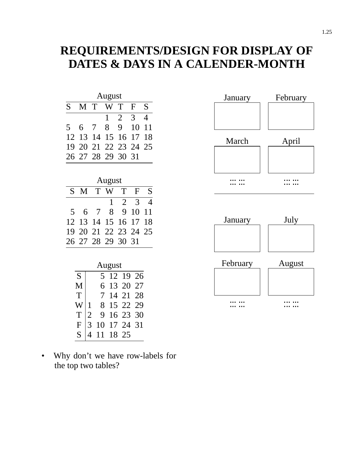### **REQUIREMENTS/DESIGN FOR DISPLAY OF DATES & DAYS IN A CALENDER-MONTH**

| August |             |                |                      |                |                           |                |
|--------|-------------|----------------|----------------------|----------------|---------------------------|----------------|
| S      | M           | T              | W                    | T              | $\boldsymbol{\mathrm{F}}$ | S              |
|        |             |                | $\mathbf 1$          | $\overline{2}$ | $\overline{3}$            | 4              |
| 5      | 6           | 7              | 8                    | 9              | 10                        | 11             |
| 12     | 13          | 14             | 15                   | 16             | 17                        | 18             |
| 19     | 20          | 21             | 22                   | 23             | 24                        | 25             |
| 26     | 27          | 28             | 29                   | 30             | 31                        |                |
|        |             |                |                      |                |                           |                |
|        |             |                | August               |                |                           |                |
| S      | M           | T              | W                    | T              | $\mathbf F$               | S              |
|        |             |                | 1                    | $\overline{2}$ | 3                         | $\overline{4}$ |
| 5      | 6           | 7              | 8                    | 9              | 10                        | 11             |
| 12     | 13          | 14             | 15                   | 16             | 17                        | 18             |
| 19     | 20          | 21             | 22                   | 23             | 24                        | 25             |
| 26     | 27          | 28             | 29                   | 30             | 31                        |                |
|        |             |                |                      |                |                           |                |
|        |             |                | August               |                |                           |                |
|        | S           |                | 5                    | 12 19          | 26                        |                |
|        | M           |                | 6<br>13              | 20             | 27                        |                |
|        | T           |                | 7 <sup>1</sup><br>14 | 21             | 28                        |                |
|        | W           | $\mathbf 1$    | 8<br>15              | 22             | 29                        |                |
|        | T           | $\overline{2}$ | 9<br>16              |                | 23 30                     |                |
|        | $\mathbf F$ | 3<br>10        | 17                   | 24             | 31                        |                |
|        | S           | 4<br>11        | 18                   | 25             |                           |                |

• Why don't we have row-labels for the top two tables?



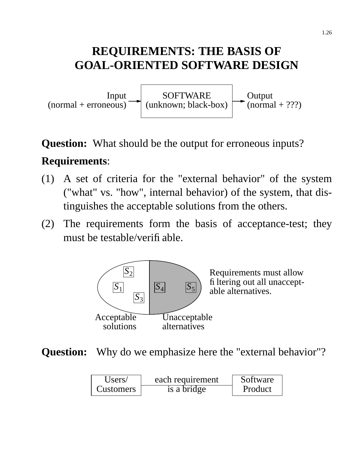### **REQUIREMENTS: THE BASIS OF GOAL-ORIENTED SOFTWARE DESIGN**



### **Question:** What should be the output for erroneous inputs?

### **Requirements**:

- (1) A set of criteria for the "external behavior" of the system ("what" vs. "how", internal behavior) of the system, that distinguishes the acceptable solutions from the others.
- (2) The requirements form the basis of acceptance-test; they must be testable/verifiable.



**Question:** Why do we emphasize here the "external behavior"?

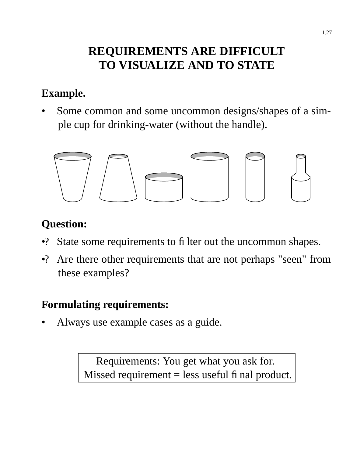### **REQUIREMENTS ARE DIFFICULT TO VISUALIZE AND TO STATE**

### **Example.**

• Some common and some uncommon designs/shapes of a simple cup for drinking-water (without the handle).



### **Question:**

- •? State some requirements to filter out the uncommon shapes.
- •? Are there other requirements that are not perhaps "seen" from these examples?

### **Formulating requirements:**

• Always use example cases as a guide.

Requirements: You get what you ask for. Missed requirement  $=$  less useful final product.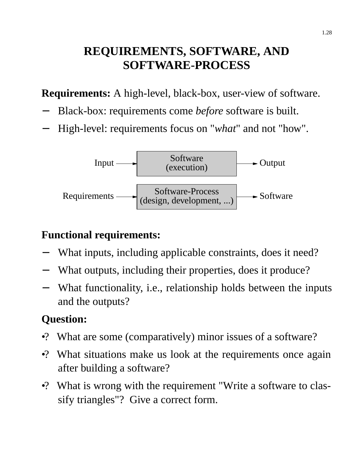### **REQUIREMENTS, SOFTWARE, AND SOFTWARE-PROCESS**

**Requirements:** A high-level, black-box, user-view of software.

- − Black-box: requirements come *before* software is built.
- − High-level: requirements focus on "*what*" and not "how".



### **Functional requirements:**

- What inputs, including applicable constraints, does it need?
- What outputs, including their properties, does it produce?
- What functionality, i.e., relationship holds between the inputs and the outputs?

### **Question:**

- •? What are some (comparatively) minor issues of a software?
- •? What situations make us look at the requirements once again after building a software?
- •? What is wrong with the requirement "Write a software to classify triangles"? Give a correct form.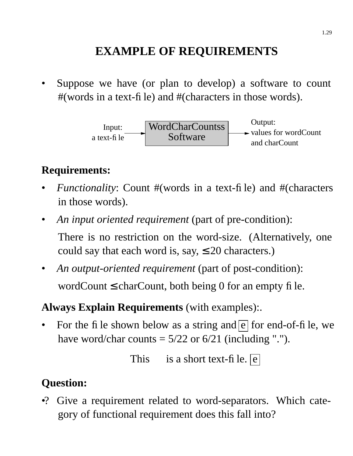### **EXAMPLE OF REQUIREMENTS**

Suppose we have (or plan to develop) a software to count #(words in a text-file) and #(characters in those words).



### **Requirements:**

- *Functionality:* Count #(words in a text-file) and #(characters in those words).
- *An input oriented requirement* (part of pre-condition): There is no restriction on the word-size. (Alternatively, one

could say that each word is, say,  $\leq 20$  characters.)

• *An output-oriented requirement* (part of post-condition): wordCount  $\leq$  charCount, both being 0 for an empty file.

### **Always Explain Requirements** (with examples):.

For the file shown below as a string and  $\boxed{e}$  for end-of-file, we have word/char counts  $= 5/22$  or  $6/21$  (including ".").

This is a short text-file.  $\boxed{e}$ 

### **Question:**

•? Give a requirement related to word-separators. Which category of functional requirement does this fall into?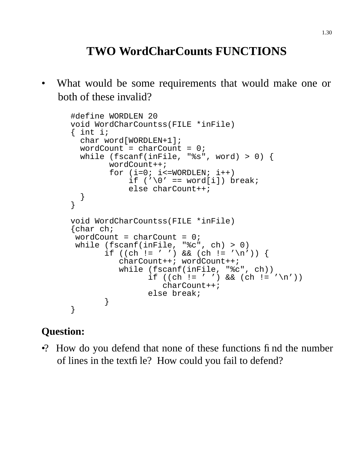### **TWO WordCharCounts FUNCTIONS**

What would be some requirements that would make one or both of these invalid?

```
#define WORDLEN 20
void WordCharCountss(FILE *inFile)
{ int i;
  char word[WORDLEN+1];
  wordCount = charCount = 0;
 while (fscanf(inFile, "%s", word) > 0) {
        wordCount++;
        for (i=0; i<=WORDLEN; i++)if ('\0' == word[i]) break;
            else charCount++;
 }
}
void WordCharCountss(FILE *inFile)
{char ch;
wordCount = charCount = 0;
while (fscanf(inFile, "%c", ch) > 0)
       if ((ch != ' ')\& (ch != '\\charCount++; wordCount++;
          while (fscanf(inFile, "%c", ch))
                if ((ch) = ' ' ) && (ch) = ' \n1charCount++;
                else break;
       }
}
```
#### **Question:**

•? How do you defend that none of these functions find the number of lines in the textfile? How could you fail to defend?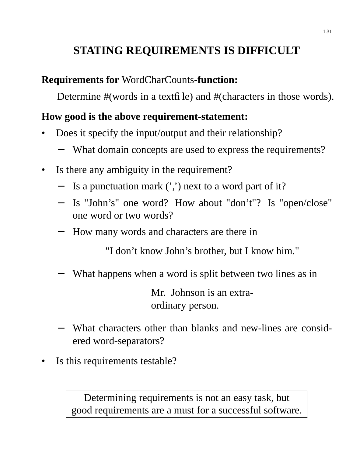### **STATING REQUIREMENTS IS DIFFICULT**

#### **Requirements for** WordCharCounts-**function:**

Determine #(words in a textfile) and #(characters in those words).

#### **How good is the above requirement-statement:**

- Does it specify the input/output and their relationship?
	- What domain concepts are used to express the requirements?
- Is there any ambiguity in the requirement?
	- Is a punctuation mark  $($ ,') next to a word part of it?
	- Is "John's" one word? How about "don't"? Is "open/close" one word or two words?
	- How many words and characters are there in

"I don't know John's brother, but I know him."

What happens when a word is split between two lines as in

Mr. Johnson is an extraordinary person.

- − What characters other than blanks and new-lines are considered word-separators?
- Is this requirements testable?

Determining requirements is not an easy task, but good requirements are a must for a successful software.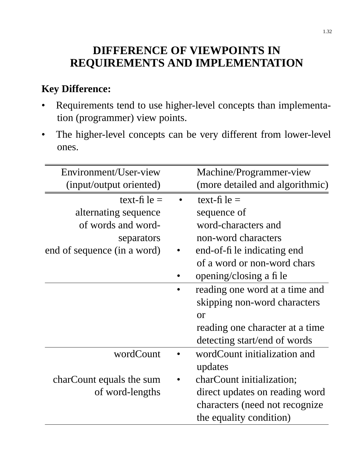### **DIFFERENCE OF VIEWPOINTS IN REQUIREMENTS AND IMPLEMENTATION**

### **Key Difference:**

- Requirements tend to use higher-level concepts than implementation (programmer) view points.
- The higher-level concepts can be very different from lower-level ones.

| Environment/User-view       | Machine/Programmer-view         |
|-----------------------------|---------------------------------|
| (input/output oriented)     | (more detailed and algorithmic) |
| text-fi $le =$              | text-fi $le =$                  |
| alternating sequence        | sequence of                     |
| of words and word-          | word-characters and             |
| separators                  | non-word characters             |
| end of sequence (in a word) | end-of-file indicating end      |
|                             | of a word or non-word chars     |
|                             | opening/closing a fi le         |
|                             | reading one word at a time and  |
|                             | skipping non-word characters    |
|                             | <b>or</b>                       |
|                             | reading one character at a time |
|                             | detecting start/end of words    |
| wordCount                   | wordCount initialization and    |
|                             | updates                         |
| charCount equals the sum    | charCount initialization;       |
| of word-lengths             | direct updates on reading word  |
|                             | characters (need not recognize  |
|                             | the equality condition)         |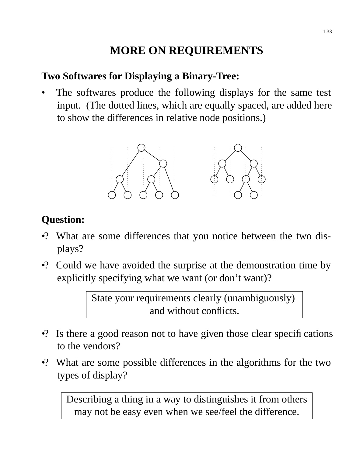### **MORE ON REQUIREMENTS**

#### **Two Softwares for Displaying a Binary-Tree:**

The softwares produce the following displays for the same test input. (The dotted lines, which are equally spaced, are added here to show the differences in relative node positions.)



### **Question:**

- •? What are some differences that you notice between the two displays?
- •? Could we have avoided the surprise at the demonstration time by explicitly specifying what we want (or don't want)?

State your requirements clearly (unambiguously) and without conflicts.

- $\cdot$ ? Is there a good reason not to have given those clear specifications to the vendors?
- •? What are some possible differences in the algorithms for the two types of display?

Describing a thing in a way to distinguishes it from others may not be easy even when we see/feel the difference.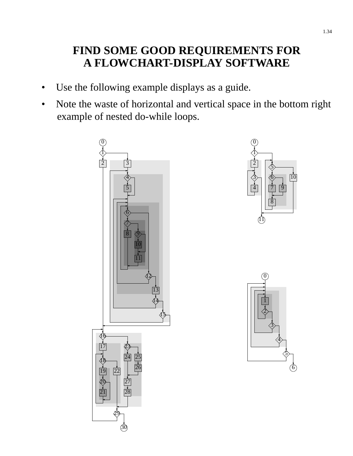### **FIND SOME GOOD REQUIREMENTS FOR A FLOWCHART-DISPLAY SOFTWARE**

- Use the following example displays as a guide.
- Note the waste of horizontal and vertical space in the bottom right example of nested do-while loops.





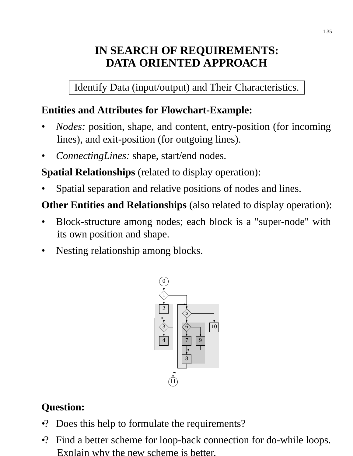### **IN SEARCH OF REQUIREMENTS: DATA ORIENTED APPROACH**

Identify Data (input/output) and Their Characteristics.

#### **Entities and Attributes for Flowchart-Example:**

- *Nodes:* position, shape, and content, entry-position (for incoming lines), and exit-position (for outgoing lines).
- *ConnectingLines:* shape, start/end nodes.

**Spatial Relationships** (related to display operation):

Spatial separation and relative positions of nodes and lines.

**Other Entities and Relationships** (also related to display operation):

- Block-structure among nodes; each block is a "super-node" with its own position and shape.
- Nesting relationship among blocks.



### **Question:**

- •? Does this help to formulate the requirements?
- •? Find a better scheme for loop-back connection for do-while loops. Explain why the new scheme is better.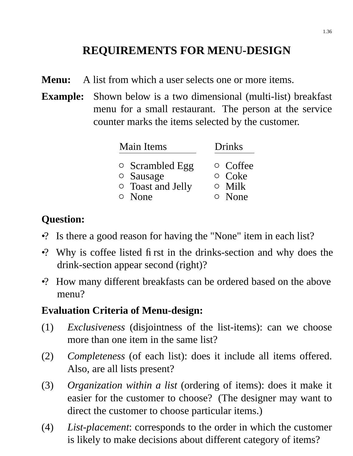### **REQUIREMENTS FOR MENU-DESIGN**

- **Menu:** A list from which a user selects one or more items.
- **Example:** Shown below is a two dimensional (multi-list) breakfast menu for a small restaurant. The person at the service counter marks the items selected by the customer.

| Main Items                                                     | <b>Drinks</b>                                  |
|----------------------------------------------------------------|------------------------------------------------|
| $\circ$ Scrambled Egg<br>○ Sausage<br><b>O</b> Toast and Jelly | $\circ$ Coffee<br>$\circ$ Coke<br>$\circ$ Milk |
| $\circ$ None                                                   | $\circ$ None                                   |

#### **Question:**

- •? Is there a good reason for having the "None" item in each list?
- •? Why is coffee listed first in the drinks-section and why does the drink-section appear second (right)?
- •? How many different breakfasts can be ordered based on the above menu?

#### **Evaluation Criteria of Menu-design:**

- (1) *Exclusiveness* (disjointness of the list-items): can we choose more than one item in the same list?
- (2) *Completeness* (of each list): does it include all items offered. Also, are all lists present?
- (3) *Organization within a list* (ordering of items): does it make it easier for the customer to choose? (The designer may want to direct the customer to choose particular items.)
- (4) *List-placement*: corresponds to the order in which the customer is likely to make decisions about different category of items?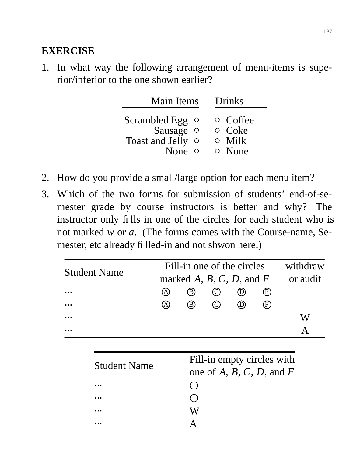#### **EXERCISE**

1. In what way the following arrangement of menu-items is superior/inferior to the one shown earlier?

| <b>Main Items</b>                                                            | <b>Drinks</b> |                                                                |
|------------------------------------------------------------------------------|---------------|----------------------------------------------------------------|
| Scrambled Egg $\circ$<br>Sausage o<br><b>Toast and Jelly</b><br>None $\circ$ | $\circ$       | $\circ$ Coffee<br>$\circ$ Coke<br>$\circ$ Milk<br>$\circ$ None |

- 2. How do you provide a small/large option for each menu item?
- 3. Which of the two forms for submission of students' end-of-semester grade by course instructors is better and why? The instructor only fills in one of the circles for each student who is not marked *w* or *a*. (The forms comes with the Course-name, Semester, etc already filled-in and not shwon here.)

|                     |                           | Fill-in one of the circles |  |  |     | withdraw |
|---------------------|---------------------------|----------------------------|--|--|-----|----------|
| <b>Student Name</b> |                           | marked A, B, C, D, and F   |  |  |     | or audit |
| $\cdots$            | A                         | (B)                        |  |  | (F) |          |
| $\cdots$            | $\left[ \right. A\right]$ | ®                          |  |  | (F) |          |
| $\cdots$            |                           |                            |  |  |     |          |
|                     |                           |                            |  |  |     |          |

| <b>Student Name</b> | Fill-in empty circles with    |
|---------------------|-------------------------------|
|                     | one of $A, B, C, D$ , and $F$ |
|                     |                               |
|                     |                               |
|                     |                               |
|                     |                               |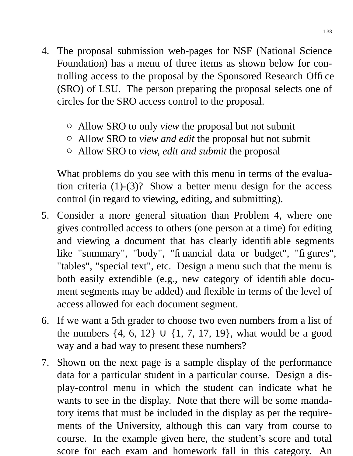- 4. The proposal submission web-pages for NSF (National Science Foundation) has a menu of three items as shown below for controlling access to the proposal by the Sponsored Research Office (SRO) of LSU. The person preparing the proposal selects one of circles for the SRO access control to the proposal.
	- Allow SRO to only *view* the proposal but not submit
	- Allow SRO to *view and edit* the proposal but not submit
	- Allow SRO to *view, edit and submit* the proposal

What problems do you see with this menu in terms of the evaluation criteria  $(1)-(3)$ ? Show a better menu design for the access control (in regard to viewing, editing, and submitting).

- 5. Consider a more general situation than Problem 4, where one gives controlled access to others (one person at a time) for editing and viewing a document that has clearly identifiable segments like "summary", "body", "financial data or budget", "figures", "tables", "special text", etc. Design a menu such that the menu is both easily extendible (e.g., new category of identifiable document segments may be added) and flexible in terms of the level of access allowed for each document segment.
- 6. If we want a 5th grader to choose two even numbers from a list of the numbers  $\{4, 6, 12\} \cup \{1, 7, 17, 19\}$ , what would be a good way and a bad way to present these numbers?
- 7. Shown on the next page is a sample display of the performance data for a particular student in a particular course. Design a display-control menu in which the student can indicate what he wants to see in the display. Note that there will be some mandatory items that must be included in the display as per the requirements of the University, although this can vary from course to course. In the example given here, the student's score and total score for each exam and homework fall in this category. An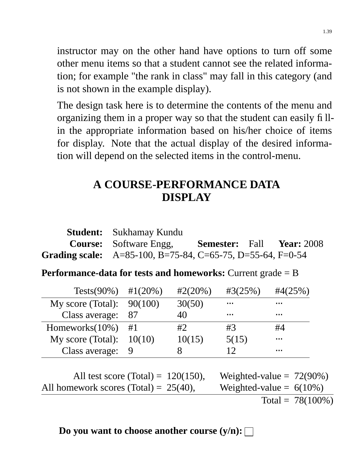instructor may on the other hand have options to turn off some other menu items so that a student cannot see the related information; for example "the rank in class" may fall in this category (and is not shown in the example display).

The design task here is to determine the contents of the menu and organizing them in a proper way so that the student can easily fillin the appropriate information based on his/her choice of items for display. Note that the actual display of the desired information will depend on the selected items in the control-menu.

### **A COURSE-PERFORMANCE DATA DISPLAY**

| <b>Student:</b> Sukhamay Kundu                                |                                         |  |
|---------------------------------------------------------------|-----------------------------------------|--|
| <b>Course:</b> Software Engg,                                 | <b>Semester:</b> Fall <b>Year:</b> 2008 |  |
| Grading scale: $A=85-100$ , B=75-84, C=65-75, D=55-64, F=0-54 |                                         |  |

**Performance-data for tests and homeworks:** Current grade = B

| Tests(90%) #1(20%)          |        | $\#2(20\%)$ | #3(25%)  | $\#4(25\%)$ |
|-----------------------------|--------|-------------|----------|-------------|
| My score (Total): $90(100)$ |        | 30(50)      | $\cdots$ | $\ddotsc$   |
| Class average:              | 87     |             | $\cdots$ | $\ddotsc$   |
| Homeworks $(10\%)$          | #1     | #2          | #3       | #4          |
| My score (Total):           | 10(10) | 10(15)      | 5(15)    | $\ddotsc$   |
| Class average:              |        |             | 12       | $\cdots$    |
|                             |        |             |          |             |

All test score (Total) =  $120(150)$ , Weighted-value =  $72(90\%)$ All homework scores (Total) =  $25(40)$ , Weighted-value =  $6(10\%)$ Total =  $78(100\%)$ 

**Do you want to choose another course**  $(y/n):$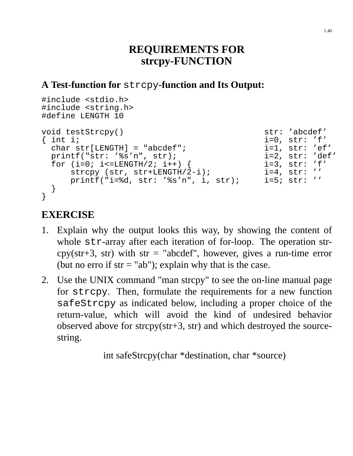#### **REQUIREMENTS FOR strcpy-FUNCTION**

#### **A Test-function for** strcpy**-function and Its Output:**

```
#include <stdio.h>
#include <string.h>
#define LENGTH 10
void testStrcpy() str: 'abcdef'
{ int i; i = 0, str: 'f'
  char str[LENGTH] = "abcdef";<br>printf("str: '%s'n", str);            i=2, str: 'def'
  printf("str: '%s'n", str);
  for (i=0; i<=LENGTH/2; i++) {<br>strcpy (str, str+LENGTH/2-i); i=4, str: ''strcpy (str, str+LENGTH/2-i);<br>printf("i=%d, str: '%s'n", i, str); i=5; str: ''
      printf("i=\d, str: '\frac{1}{5}s'n", i, str);
 }
}
```
#### **EXERCISE**

- 1. Explain why the output looks this way, by showing the content of whole str-array after each iteration of for-loop. The operation strcpy(str+3, str) with str = "abcdef", however, gives a run-time error (but no erro if  $str = "ab"$ ); explain why that is the case.
- 2. Use the UNIX command "man strcpy" to see the on-line manual page for strcpy. Then, formulate the requirements for a new function safeStrcpy as indicated below, including a proper choice of the return-value, which will avoid the kind of undesired behavior observed above for strcpy(str+3, str) and which destroyed the sourcestring.

int safeStrcpy(char \*destination, char \*source)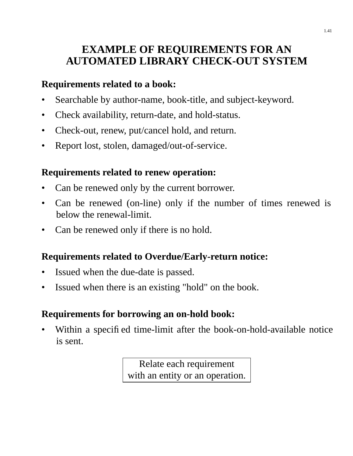### **EXAMPLE OF REQUIREMENTS FOR AN AUTOMATED LIBRARY CHECK-OUT SYSTEM**

#### **Requirements related to a book:**

- Searchable by author-name, book-title, and subject-keyword.
- Check availability, return-date, and hold-status.
- Check-out, renew, put/cancel hold, and return.
- Report lost, stolen, damaged/out-of-service.

#### **Requirements related to renew operation:**

- Can be renewed only by the current borrower.
- Can be renewed (on-line) only if the number of times renewed is below the renewal-limit.
- Can be renewed only if there is no hold.

#### **Requirements related to Overdue/Early-return notice:**

- Issued when the due-date is passed.
- Issued when there is an existing "hold" on the book.

#### **Requirements for borrowing an on-hold book:**

Within a specified time-limit after the book-on-hold-available notice is sent.

> Relate each requirement with an entity or an operation.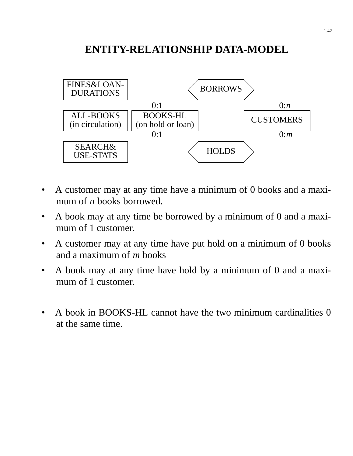### **ENTITY-RELATIONSHIP DATA-MODEL**



- A customer may at any time have a minimum of 0 books and a maximum of *n* books borrowed.
- A book may at any time be borrowed by a minimum of 0 and a maximum of 1 customer.
- A customer may at any time have put hold on a minimum of 0 books and a maximum of *m* books
- A book may at any time have hold by a minimum of 0 and a maximum of 1 customer.
- A book in BOOKS-HL cannot have the two minimum cardinalities 0 at the same time.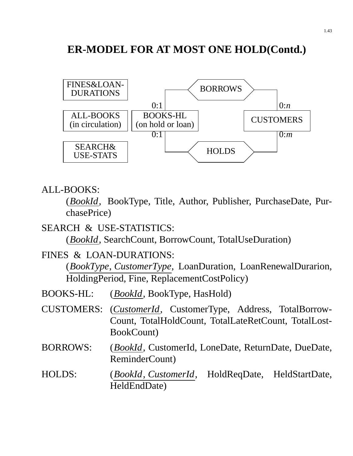### **ER-MODEL FOR AT MOST ONE HOLD(Contd.)**



#### ALL-BOOKS:

(*BookId*, BookType, Title, Author, Publisher, PurchaseDate, PurchasePrice)

SEARCH & USE-STATISTICS:

(*BookId*, SearchCount, BorrowCount, TotalUseDuration)

FINES & LOAN-DURATIONS:

(*BookType*, *CustomerType*, LoanDuration, LoanRenewalDurarion, HoldingPeriod, Fine, ReplacementCostPolicy)

- BOOKS-HL: (*BookId*, BookType, HasHold)
- CUSTOMERS: (*CustomerId*, CustomerType, Address, TotalBorrow-Count, TotalHoldCount, TotalLateRetCount, TotalLost-BookCount)
- BORROWS: (*BookId*, CustomerId, LoneDate, ReturnDate, DueDate, ReminderCount)
- HOLDS: (*BookId*, *CustomerId*, HoldReqDate, HeldStartDate, HeldEndDate)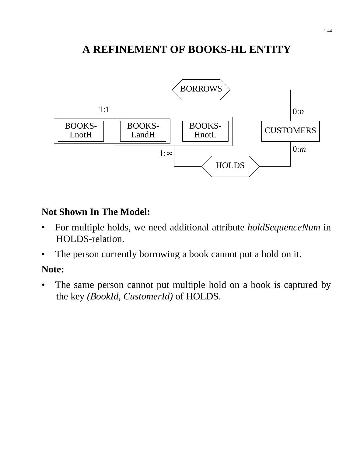### **A REFINEMENT OF BOOKS-HL ENTITY**



#### **Not Shown In The Model:**

- For multiple holds, we need additional attribute *holdSequenceNum* in HOLDS-relation.
- The person currently borrowing a book cannot put a hold on it.

#### **Note:**

• The same person cannot put multiple hold on a book is captured by the key *(BookId, CustomerId)* of HOLDS.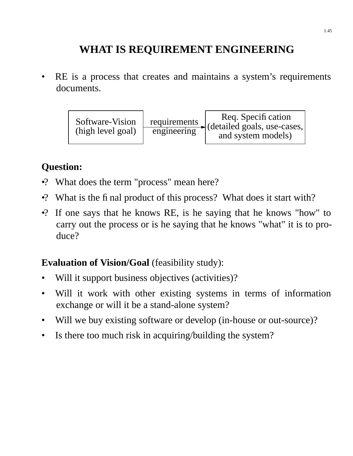### **WHAT IS REQUIREMENT ENGINEERING**

RE is a process that creates and maintains a system's requirements documents.



#### **Question:**

- •? What does the term "process" mean here?
- •? What is the final product of this process? What does it start with?
- •? If one says that he knows RE, is he saying that he knows "how" to carry out the process or is he saying that he knows "what" it is to produce?

#### **Evaluation of Vision/Goal** (feasibility study):

- Will it support business objectives (activities)?
- Will it work with other existing systems in terms of information exchange or will it be a stand-alone system?
- Will we buy existing software or develop (in-house or out-source)?
- Is there too much risk in acquiring/building the system?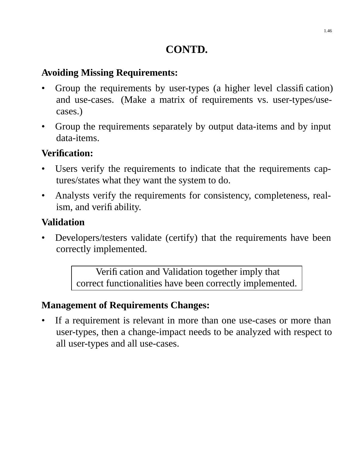### **CONTD.**

#### **Av oiding Missing Requirements:**

- Group the requirements by user-types (a higher level classification) and use-cases. (Make a matrix of requirements vs. user-types/usecases.)
- Group the requirements separately by output data-items and by input data-items.

#### **Verification:**

- Users verify the requirements to indicate that the requirements captures/states what they want the system to do.
- Analysts verify the requirements for consistency, completeness, realism, and verifiability.

#### **Validation**

Developers/testers validate (certify) that the requirements have been correctly implemented.

> Verification and Validation together imply that correct functionalities have been correctly implemented.

#### **Management of Requirements Changes:**

If a requirement is relevant in more than one use-cases or more than user-types, then a change-impact needs to be analyzed with respect to all user-types and all use-cases.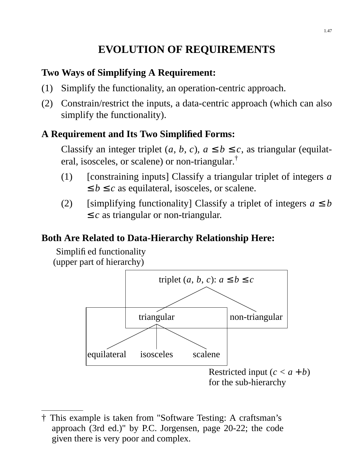### **EVOLUTION OF REQUIREMENTS**

#### **Two Ways of Simplifying A Requirement:**

- (1) Simplify the functionality, an operation-centric approach.
- (2) Constrain/restrict the inputs, a data-centric approach (which can also simplify the functionality).

#### **A Requirement and Its Two Simplified Forms:**

Classify an integer triplet  $(a, b, c)$ ,  $a \le b \le c$ , as triangular (equilateral, isosceles, or scalene) or non-triangular.†

- (1) [constraining inputs] Classify a triangular triplet of integers *a*  $\leq b \leq c$  as equilateral, isosceles, or scalene.
- (2) [simplifying functionality] Classify a triplet of integers  $a \leq b$  $\leq c$  as triangular or non-triangular.

#### **Both Are Related to Data-Hierarchy Relationship Here:**

Simplified functionality (upper part of hierarchy)



<sup>†</sup> This example is taken from "Software Testing: A craftsman's approach (3rd ed.)" by P.C. Jorgensen, page 20-22; the code given there is very poor and complex.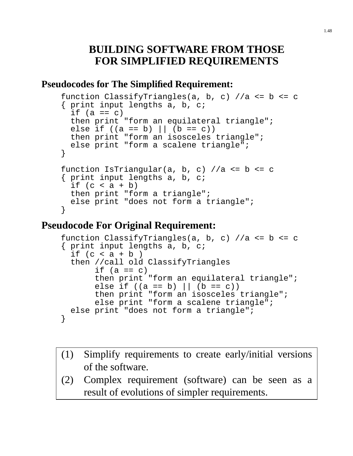#### **BUILDING SOFTWARE FROM THOSE FOR SIMPLIFIED REQUIREMENTS**

#### **Pseudocodes for The Simplified Requirement:**

```
function ClassifyTriangles(a, b, c) //a \leq b \leq c{ print input lengths a, b, c;
 if (a == c)then print "form an equilateral triangle";
  else if ((a == b) || (b == c))then print "form an isosceles triangle";
 else print "form a scalene triangle";
}
function IsTriangular(a, b, c) //a \leq b \leq c{ print input lengths a, b, c;
 if (c < a + b)then print "form a triangle";
  else print "does not form a triangle";
}
```
#### **Pseudocode For Original Requirement:**

```
function ClassifyTriangles(a, b, c) //a \leq b \leq c{ print input lengths a, b, c;
  if (c < a + b)then //call old ClassifyTriangles
       if (a == c)then print "form an equilateral triangle";
      else if ((a == b) || (b == c))then print "form an isosceles triangle";
       else print "form a scalene triangle";
 else print "does not form a triangle";
}
```
- (1) Simplify requirements to create early/initial versions of the software.
- (2) Complex requirement (software) can be seen as a result of evolutions of simpler requirements.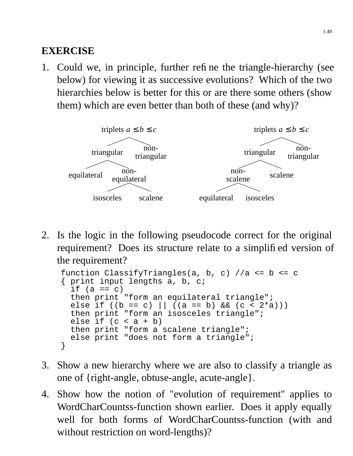### **EXERCISE**

1. Could we, in principle, further refine the triangle-hierarchy (see below) for viewing it as successive evolutions? Which of the two hierarchies below is better for this or are there some others (show them) which are even better than both of these (and why)?



2. Is the logic in the following pseudocode correct for the original requirement? Does its structure relate to a simplified version of the requirement?

```
function ClassifyTriangles(a, b, c) //a \leq b \leq c{ print input lengths a, b, c;
  if (a == c)
  then print "form an equilateral triangle";
  else if ((b == c) || ((a == b) & (c < 2*a)))then print "form an isosceles triangle";
  else if (c < a + b)then print "form a scalene triangle";
  else print "does not form a triangle";
}
```
- 3. Show a new hierarchy where we are also to classify a triangle as one of {right-angle, obtuse-angle, acute-angle}.
- 4. Show how the notion of "evolution of requirement" applies to WordCharCountss-function shown earlier. Does it apply equally well for both forms of WordCharCountss-function (with and without restriction on word-lengths)?